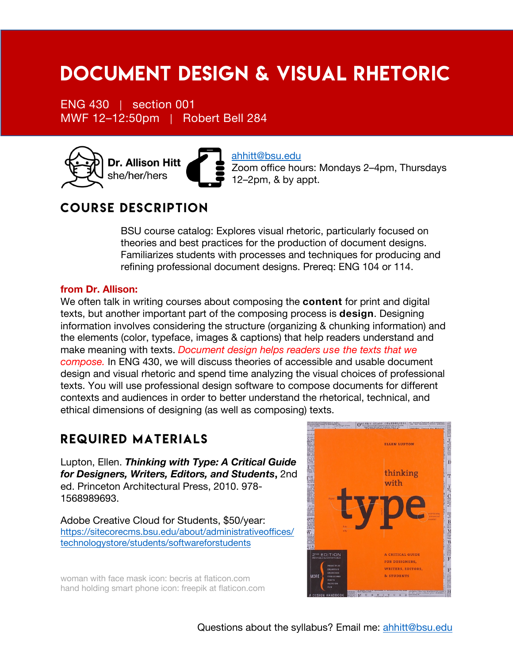# Document Design & Visual Rhetoric

ENG 430 | section 001 MWF 12–12:50pm | Robert Bell 284



ahhitt@bsu.edu Zoom office hours: Mondays 2–4pm, Thursdays 12–2pm, & by appt.

## Course description

BSU course catalog: Explores visual rhetoric, particularly focused on theories and best practices for the production of document designs. Familiarizes students with processes and techniques for producing and refining professional document designs. Prereq: ENG 104 or 114.

#### **from Dr. Allison:**

We often talk in writing courses about composing the **content** for print and digital texts, but another important part of the composing process is **design**. Designing information involves considering the structure (organizing & chunking information) and the elements (color, typeface, images & captions) that help readers understand and make meaning with texts. *Document design helps readers use the texts that we compose.* In ENG 430, we will discuss theories of accessible and usable document design and visual rhetoric and spend time analyzing the visual choices of professional texts. You will use professional design software to compose documents for different contexts and audiences in order to better understand the rhetorical, technical, and ethical dimensions of designing (as well as composing) texts.

### Required Materials

Lupton, Ellen. *Thinking with Type: A Critical Guide for Designers, Writers, Editors, and Students***,** 2nd ed. Princeton Architectural Press, 2010. 978- 1568989693.

Adobe Creative Cloud for Students, \$50/year: https://sitecorecms.bsu.edu/about/administrativeoffices/ technologystore/students/softwareforstudents

woman with face mask icon: becris at flaticon.com hand holding smart phone icon: freepik at flaticon.com

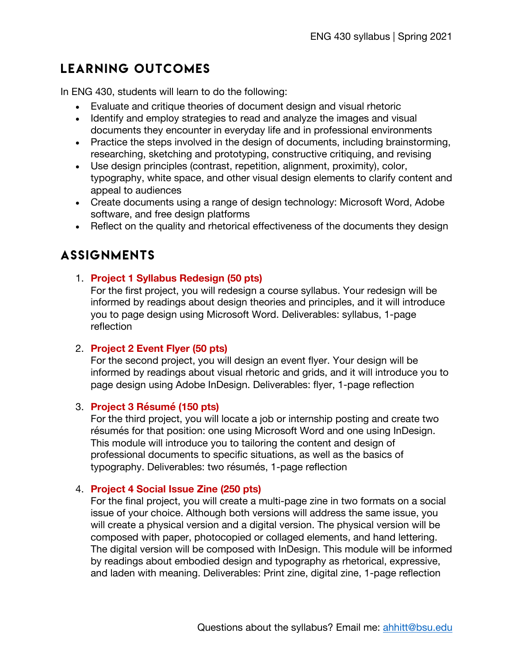## Learning Outcomes

In ENG 430, students will learn to do the following:

- Evaluate and critique theories of document design and visual rhetoric
- Identify and employ strategies to read and analyze the images and visual documents they encounter in everyday life and in professional environments
- Practice the steps involved in the design of documents, including brainstorming, researching, sketching and prototyping, constructive critiquing, and revising
- Use design principles (contrast, repetition, alignment, proximity), color, typography, white space, and other visual design elements to clarify content and appeal to audiences
- Create documents using a range of design technology: Microsoft Word, Adobe software, and free design platforms
- Reflect on the quality and rhetorical effectiveness of the documents they design

## **ASSIGNMENTS**

#### 1. **Project 1 Syllabus Redesign (50 pts)**

For the first project, you will redesign a course syllabus. Your redesign will be informed by readings about design theories and principles, and it will introduce you to page design using Microsoft Word. Deliverables: syllabus, 1-page reflection

#### 2. **Project 2 Event Flyer (50 pts)**

For the second project, you will design an event flyer. Your design will be informed by readings about visual rhetoric and grids, and it will introduce you to page design using Adobe InDesign. Deliverables: flyer, 1-page reflection

#### 3. **Project 3 Résumé (150 pts)**

For the third project, you will locate a job or internship posting and create two résumés for that position: one using Microsoft Word and one using InDesign. This module will introduce you to tailoring the content and design of professional documents to specific situations, as well as the basics of typography. Deliverables: two résumés, 1-page reflection

#### 4. **Project 4 Social Issue Zine (250 pts)**

For the final project, you will create a multi-page zine in two formats on a social issue of your choice. Although both versions will address the same issue, you will create a physical version and a digital version. The physical version will be composed with paper, photocopied or collaged elements, and hand lettering. The digital version will be composed with InDesign. This module will be informed by readings about embodied design and typography as rhetorical, expressive, and laden with meaning. Deliverables: Print zine, digital zine, 1-page reflection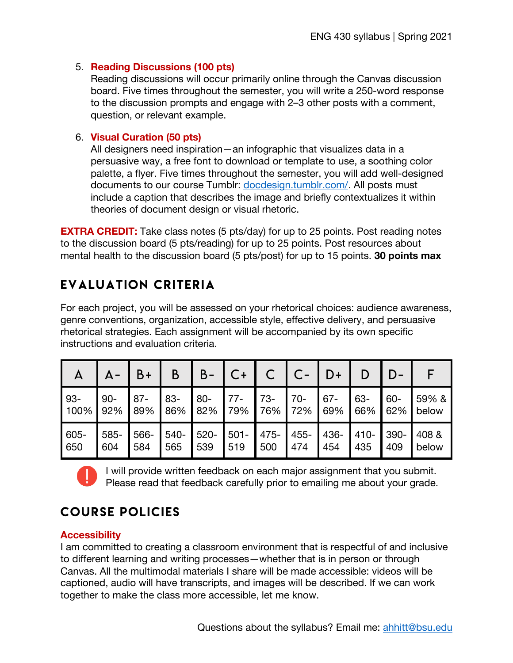#### 5. **Reading Discussions (100 pts)**

Reading discussions will occur primarily online through the Canvas discussion board. Five times throughout the semester, you will write a 250-word response to the discussion prompts and engage with 2–3 other posts with a comment, question, or relevant example.

#### 6. **Visual Curation (50 pts)**

All designers need inspiration—an infographic that visualizes data in a persuasive way, a free font to download or template to use, a soothing color palette, a flyer. Five times throughout the semester, you will add well-designed documents to our course Tumblr: docdesign.tumblr.com/. All posts must include a caption that describes the image and briefly contextualizes it within theories of document design or visual rhetoric.

**EXTRA CREDIT:** Take class notes (5 pts/day) for up to 25 points. Post reading notes to the discussion board (5 pts/reading) for up to 25 points. Post resources about mental health to the discussion board (5 pts/post) for up to 15 points. **30 points max**

## Evaluation Criteria

For each project, you will be assessed on your rhetorical choices: audience awareness, genre conventions, organization, accessible style, effective delivery, and persuasive rhetorical strategies. Each assignment will be accompanied by its own specific instructions and evaluation criteria.

| $\mathsf{A}$ |        | $B +$ | B      | B-     |         |       |         | D+     |         |        |        |
|--------------|--------|-------|--------|--------|---------|-------|---------|--------|---------|--------|--------|
| 93-          | $90 -$ | $87-$ | $83 -$ | $80 -$ | $77-$   | $73-$ | $70-$   | $67 -$ | 63-     | $60 -$ | 59% &  |
| 100%         | 92%    | 89%   | 86%    | 82%    | 79%     | 76%   | 72%     | 69%    | 66%     | 62%    | below  |
| 605-         | 585-   | 566-  | 540-   | 520-   | $501 -$ | 475-  | $455 -$ | 436-   | $410 -$ | 390-   | 1408 & |
| 650          | 604    | 584   | 565    | 539    | 519     | 500   | 474     | 454    | 435     | 409    | below  |



I will provide written feedback on each major assignment that you submit. Please read that feedback carefully prior to emailing me about your grade.

## Course policies

#### **Accessibility**

I am committed to creating a classroom environment that is respectful of and inclusive to different learning and writing processes—whether that is in person or through Canvas. All the multimodal materials I share will be made accessible: videos will be captioned, audio will have transcripts, and images will be described. If we can work together to make the class more accessible, let me know.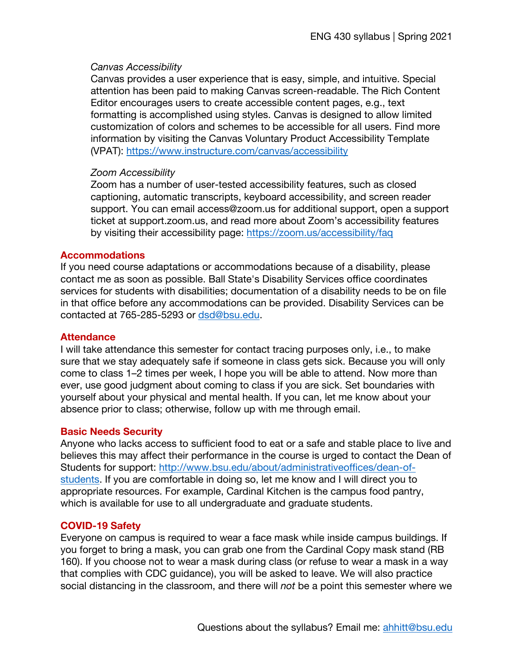#### *Canvas Accessibility*

Canvas provides a user experience that is easy, simple, and intuitive. Special attention has been paid to making Canvas screen-readable. The Rich Content Editor encourages users to create accessible content pages, e.g., text formatting is accomplished using styles. Canvas is designed to allow limited customization of colors and schemes to be accessible for all users. Find more information by visiting the Canvas Voluntary Product Accessibility Template (VPAT): https://www.instructure.com/canvas/accessibility

#### *Zoom Accessibility*

Zoom has a number of user-tested accessibility features, such as closed captioning, automatic transcripts, keyboard accessibility, and screen reader support. You can email access@zoom.us for additional support, open a support ticket at support.zoom.us, and read more about Zoom's accessibility features by visiting their accessibility page: https://zoom.us/accessibility/faq

#### **Accommodations**

If you need course adaptations or accommodations because of a disability, please contact me as soon as possible. Ball State's Disability Services office coordinates services for students with disabilities; documentation of a disability needs to be on file in that office before any accommodations can be provided. Disability Services can be contacted at 765-285-5293 or dsd@bsu.edu.

#### **Attendance**

I will take attendance this semester for contact tracing purposes only, i.e., to make sure that we stay adequately safe if someone in class gets sick. Because you will only come to class 1–2 times per week, I hope you will be able to attend. Now more than ever, use good judgment about coming to class if you are sick. Set boundaries with yourself about your physical and mental health. If you can, let me know about your absence prior to class; otherwise, follow up with me through email.

#### **Basic Needs Security**

Anyone who lacks access to sufficient food to eat or a safe and stable place to live and believes this may affect their performance in the course is urged to contact the Dean of Students for support: http://www.bsu.edu/about/administrativeoffices/dean-ofstudents. If you are comfortable in doing so, let me know and I will direct you to appropriate resources. For example, Cardinal Kitchen is the campus food pantry, which is available for use to all undergraduate and graduate students.

#### **COVID-19 Safety**

Everyone on campus is required to wear a face mask while inside campus buildings. If you forget to bring a mask, you can grab one from the Cardinal Copy mask stand (RB 160). If you choose not to wear a mask during class (or refuse to wear a mask in a way that complies with CDC guidance), you will be asked to leave. We will also practice social distancing in the classroom, and there will *not* be a point this semester where we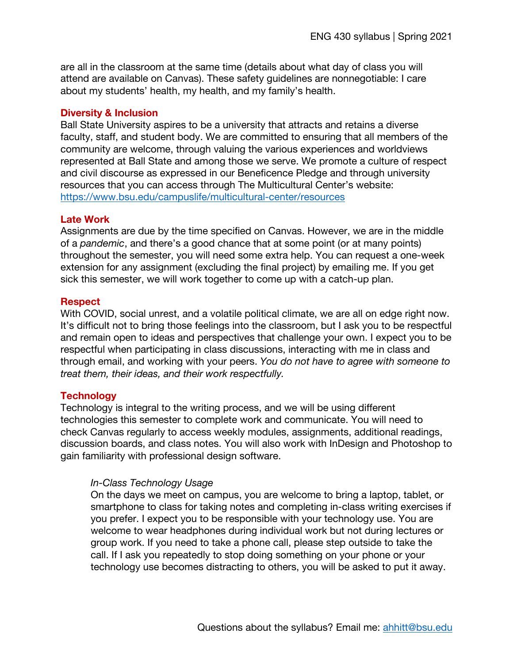are all in the classroom at the same time (details about what day of class you will attend are available on Canvas). These safety guidelines are nonnegotiable: I care about my students' health, my health, and my family's health.

#### **Diversity & Inclusion**

Ball State University aspires to be a university that attracts and retains a diverse faculty, staff, and student body. We are committed to ensuring that all members of the community are welcome, through valuing the various experiences and worldviews represented at Ball State and among those we serve. We promote a culture of respect and civil discourse as expressed in our Beneficence Pledge and through university resources that you can access through The Multicultural Center's website: https://www.bsu.edu/campuslife/multicultural-center/resources

#### **Late Work**

Assignments are due by the time specified on Canvas. However, we are in the middle of a *pandemic*, and there's a good chance that at some point (or at many points) throughout the semester, you will need some extra help. You can request a one-week extension for any assignment (excluding the final project) by emailing me. If you get sick this semester, we will work together to come up with a catch-up plan.

#### **Respect**

With COVID, social unrest, and a volatile political climate, we are all on edge right now. It's difficult not to bring those feelings into the classroom, but I ask you to be respectful and remain open to ideas and perspectives that challenge your own. I expect you to be respectful when participating in class discussions, interacting with me in class and through email, and working with your peers. *You do not have to agree with someone to treat them, their ideas, and their work respectfully.*

#### **Technology**

Technology is integral to the writing process, and we will be using different technologies this semester to complete work and communicate. You will need to check Canvas regularly to access weekly modules, assignments, additional readings, discussion boards, and class notes. You will also work with InDesign and Photoshop to gain familiarity with professional design software.

#### *In-Class Technology Usage*

On the days we meet on campus, you are welcome to bring a laptop, tablet, or smartphone to class for taking notes and completing in-class writing exercises if you prefer. I expect you to be responsible with your technology use. You are welcome to wear headphones during individual work but not during lectures or group work. If you need to take a phone call, please step outside to take the call. If I ask you repeatedly to stop doing something on your phone or your technology use becomes distracting to others, you will be asked to put it away.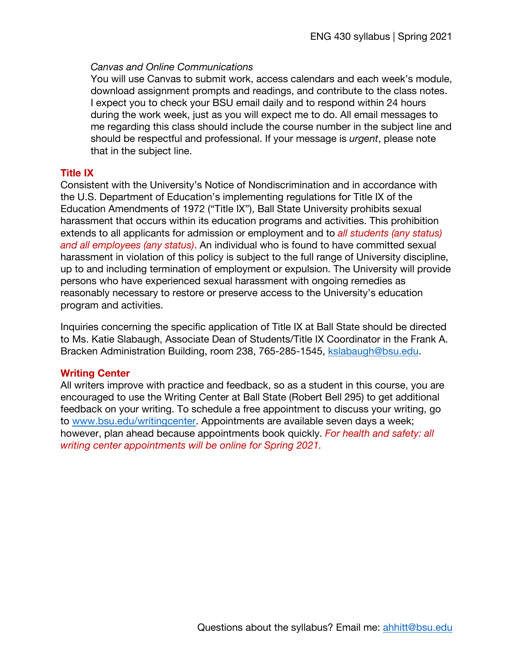#### *Canvas and Online Communications*

You will use Canvas to submit work, access calendars and each week's module, download assignment prompts and readings, and contribute to the class notes. I expect you to check your BSU email daily and to respond within 24 hours during the work week, just as you will expect me to do. All email messages to me regarding this class should include the course number in the subject line and should be respectful and professional. If your message is *urgent*, please note that in the subject line.

#### **Title IX**

Consistent with the University's Notice of Nondiscrimination and in accordance with the U.S. Department of Education's implementing regulations for Title IX of the Education Amendments of 1972 ("Title IX"), Ball State University prohibits sexual harassment that occurs within its education programs and activities. This prohibition extends to all applicants for admission or employment and to *all students (any status) and all employees (any status)*. An individual who is found to have committed sexual harassment in violation of this policy is subject to the full range of University discipline, up to and including termination of employment or expulsion. The University will provide persons who have experienced sexual harassment with ongoing remedies as reasonably necessary to restore or preserve access to the University's education program and activities.

Inquiries concerning the specific application of Title IX at Ball State should be directed to Ms. Katie Slabaugh, Associate Dean of Students/Title IX Coordinator in the Frank A. Bracken Administration Building, room 238, 765-285-1545, kslabaugh@bsu.edu.

#### **Writing Center**

All writers improve with practice and feedback, so as a student in this course, you are encouraged to use the Writing Center at Ball State (Robert Bell 295) to get additional feedback on your writing. To schedule a free appointment to discuss your writing, go to www.bsu.edu/writingcenter. Appointments are available seven days a week; however, plan ahead because appointments book quickly. *For health and safety: all writing center appointments will be online for Spring 2021.*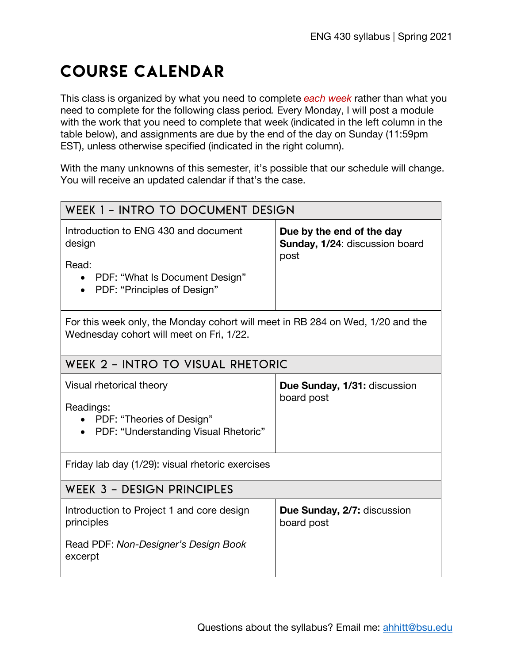## Course calendar

This class is organized by what you need to complete *each week* rather than what you need to complete for the following class period*.* Every Monday, I will post a module with the work that you need to complete that week (indicated in the left column in the table below), and assignments are due by the end of the day on Sunday (11:59pm EST), unless otherwise specified (indicated in the right column).

With the many unknowns of this semester, it's possible that our schedule will change. You will receive an updated calendar if that's the case.

| WEEK 1 - INTRO TO DOCUMENT DESIGN                                                                                                                  |                                                                     |  |  |  |
|----------------------------------------------------------------------------------------------------------------------------------------------------|---------------------------------------------------------------------|--|--|--|
| Introduction to ENG 430 and document<br>design<br>Read:<br>PDF: "What Is Document Design"<br>$\bullet$<br>PDF: "Principles of Design"<br>$\bullet$ | Due by the end of the day<br>Sunday, 1/24: discussion board<br>post |  |  |  |
| For this week only, the Monday cohort will meet in RB 284 on Wed, 1/20 and the<br>Wednesday cohort will meet on Fri, 1/22.                         |                                                                     |  |  |  |
| WEEK 2 - INTRO TO VISUAL RHETORIC                                                                                                                  |                                                                     |  |  |  |
| Visual rhetorical theory<br>Readings:<br>PDF: "Theories of Design"<br>$\bullet$<br>PDF: "Understanding Visual Rhetoric"                            | Due Sunday, 1/31: discussion<br>board post                          |  |  |  |
| Friday lab day (1/29): visual rhetoric exercises                                                                                                   |                                                                     |  |  |  |
| <b>WEEK 3 - DESIGN PRINCIPLES</b>                                                                                                                  |                                                                     |  |  |  |
| Introduction to Project 1 and core design<br>principles<br>Read PDF: Non-Designer's Design Book<br>excerpt                                         | Due Sunday, 2/7: discussion<br>board post                           |  |  |  |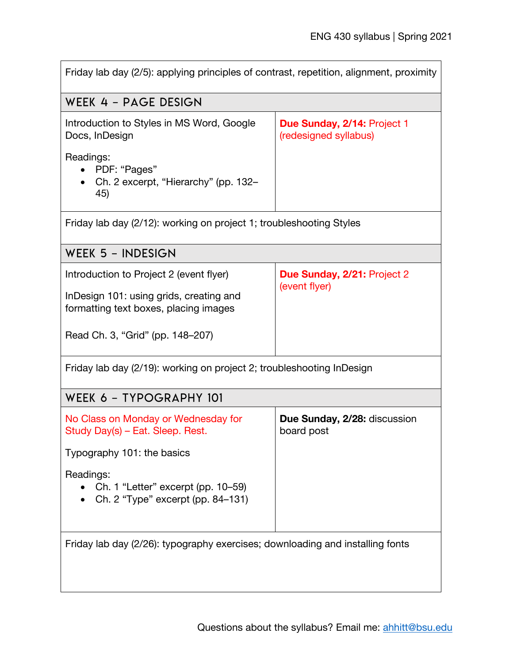| Friday lab day (2/5): applying principles of contrast, repetition, alignment, proximity |                                                      |  |  |  |  |
|-----------------------------------------------------------------------------------------|------------------------------------------------------|--|--|--|--|
| WEEK 4 - PAGE DESIGN                                                                    |                                                      |  |  |  |  |
| Introduction to Styles in MS Word, Google<br>Docs, InDesign                             | Due Sunday, 2/14: Project 1<br>(redesigned syllabus) |  |  |  |  |
| Readings:<br>PDF: "Pages"<br>Ch. 2 excerpt, "Hierarchy" (pp. 132-<br>45)                |                                                      |  |  |  |  |
| Friday lab day (2/12): working on project 1; troubleshooting Styles                     |                                                      |  |  |  |  |
| WEEK 5 - INDESIGN                                                                       |                                                      |  |  |  |  |
| Introduction to Project 2 (event flyer)                                                 | <b>Due Sunday, 2/21: Project 2</b><br>(event flyer)  |  |  |  |  |
| InDesign 101: using grids, creating and<br>formatting text boxes, placing images        |                                                      |  |  |  |  |
| Read Ch. 3, "Grid" (pp. 148–207)                                                        |                                                      |  |  |  |  |
| Friday lab day (2/19): working on project 2; troubleshooting InDesign                   |                                                      |  |  |  |  |
| WEEK 6 - TYPOGRAPHY 101                                                                 |                                                      |  |  |  |  |
| No Class on Monday or Wednesday for<br>Study Day(s) - Eat. Sleep. Rest.                 | Due Sunday, 2/28: discussion<br>board post           |  |  |  |  |
| Typography 101: the basics                                                              |                                                      |  |  |  |  |
| Readings:<br>Ch. 1 "Letter" excerpt (pp. 10–59)<br>Ch. 2 "Type" excerpt (pp. 84-131)    |                                                      |  |  |  |  |
| Friday lab day (2/26): typography exercises; downloading and installing fonts           |                                                      |  |  |  |  |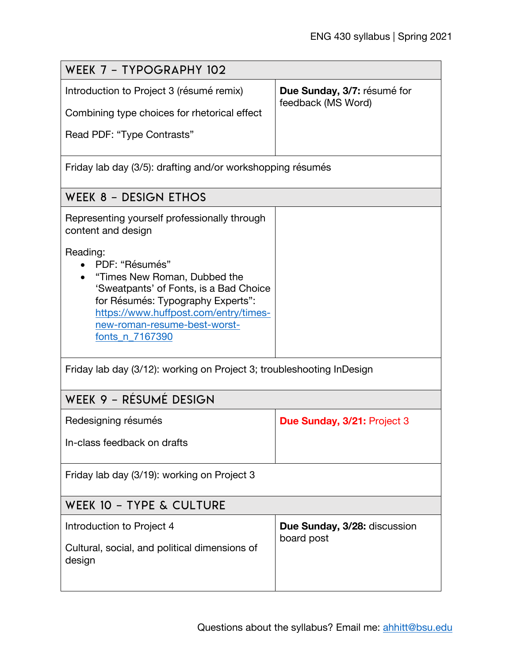| WEEK 7 - TYPOGRAPHY 102                                                                                                                                                                                                               |                                                   |  |  |  |  |
|---------------------------------------------------------------------------------------------------------------------------------------------------------------------------------------------------------------------------------------|---------------------------------------------------|--|--|--|--|
| Introduction to Project 3 (résumé remix)<br>Combining type choices for rhetorical effect                                                                                                                                              | Due Sunday, 3/7: résumé for<br>feedback (MS Word) |  |  |  |  |
| Read PDF: "Type Contrasts"                                                                                                                                                                                                            |                                                   |  |  |  |  |
| Friday lab day (3/5): drafting and/or workshopping résumés                                                                                                                                                                            |                                                   |  |  |  |  |
| WEEK 8 - DESIGN ETHOS                                                                                                                                                                                                                 |                                                   |  |  |  |  |
| Representing yourself professionally through<br>content and design                                                                                                                                                                    |                                                   |  |  |  |  |
| Reading:<br>PDF: "Résumés"<br>"Times New Roman, Dubbed the<br>'Sweatpants' of Fonts, is a Bad Choice<br>for Résumés: Typography Experts":<br>https://www.huffpost.com/entry/times-<br>new-roman-resume-best-worst-<br>fonts_n_7167390 |                                                   |  |  |  |  |
| Friday lab day (3/12): working on Project 3; troubleshooting InDesign                                                                                                                                                                 |                                                   |  |  |  |  |
| WEEK 9 - RÉSUMÉ DESIGN                                                                                                                                                                                                                |                                                   |  |  |  |  |
| Redesigning résumés                                                                                                                                                                                                                   | Due Sunday, 3/21: Project 3                       |  |  |  |  |
| In-class feedback on drafts                                                                                                                                                                                                           |                                                   |  |  |  |  |
| Friday lab day (3/19): working on Project 3                                                                                                                                                                                           |                                                   |  |  |  |  |
| WEEK 10 - TYPE & CULTURE                                                                                                                                                                                                              |                                                   |  |  |  |  |
| Introduction to Project 4<br>Cultural, social, and political dimensions of<br>design                                                                                                                                                  | Due Sunday, 3/28: discussion<br>board post        |  |  |  |  |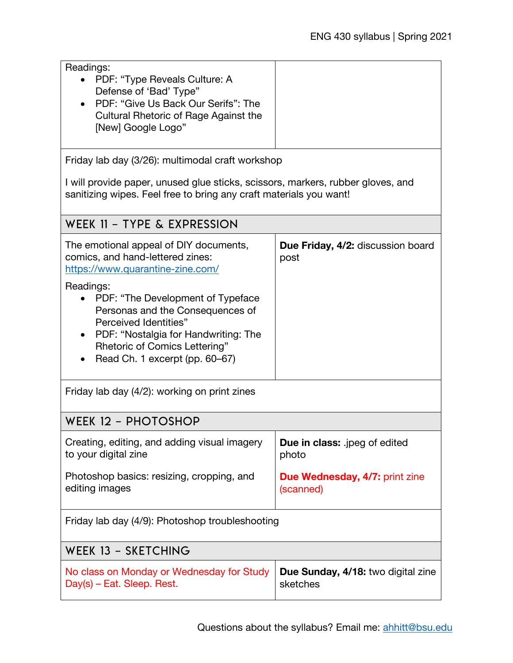| Readings:<br>PDF: "Type Reveals Culture: A<br>$\bullet$<br>Defense of 'Bad' Type"<br>PDF: "Give Us Back Our Serifs": The<br>Cultural Rhetoric of Rage Against the<br>[New] Google Logo"<br>Friday lab day (3/26): multimodal craft workshop                                                                                                            |                                                    |  |  |  |  |
|--------------------------------------------------------------------------------------------------------------------------------------------------------------------------------------------------------------------------------------------------------------------------------------------------------------------------------------------------------|----------------------------------------------------|--|--|--|--|
| I will provide paper, unused glue sticks, scissors, markers, rubber gloves, and<br>sanitizing wipes. Feel free to bring any craft materials you want!                                                                                                                                                                                                  |                                                    |  |  |  |  |
| WEEK 11 - TYPE & EXPRESSION                                                                                                                                                                                                                                                                                                                            |                                                    |  |  |  |  |
| The emotional appeal of DIY documents,<br>comics, and hand-lettered zines:<br>https://www.quarantine-zine.com/<br>Readings:<br>PDF: "The Development of Typeface<br>Personas and the Consequences of<br><b>Perceived Identities"</b><br>PDF: "Nostalgia for Handwriting: The<br><b>Rhetoric of Comics Lettering"</b><br>Read Ch. 1 excerpt (pp. 60-67) | <b>Due Friday, 4/2: discussion board</b><br>post   |  |  |  |  |
| Friday lab day (4/2): working on print zines                                                                                                                                                                                                                                                                                                           |                                                    |  |  |  |  |
| WEEK 12 - PHOTOSHOP                                                                                                                                                                                                                                                                                                                                    |                                                    |  |  |  |  |
| Creating, editing, and adding visual imagery<br>to your digital zine                                                                                                                                                                                                                                                                                   | <b>Due in class:</b> .jpeg of edited<br>photo      |  |  |  |  |
| Photoshop basics: resizing, cropping, and<br>editing images                                                                                                                                                                                                                                                                                            | <b>Due Wednesday, 4/7: print zine</b><br>(scanned) |  |  |  |  |
| Friday lab day (4/9): Photoshop troubleshooting                                                                                                                                                                                                                                                                                                        |                                                    |  |  |  |  |
| WEEK 13 - SKETCHING                                                                                                                                                                                                                                                                                                                                    |                                                    |  |  |  |  |
| No class on Monday or Wednesday for Study<br>Day(s) - Eat. Sleep. Rest.                                                                                                                                                                                                                                                                                | Due Sunday, 4/18: two digital zine<br>sketches     |  |  |  |  |